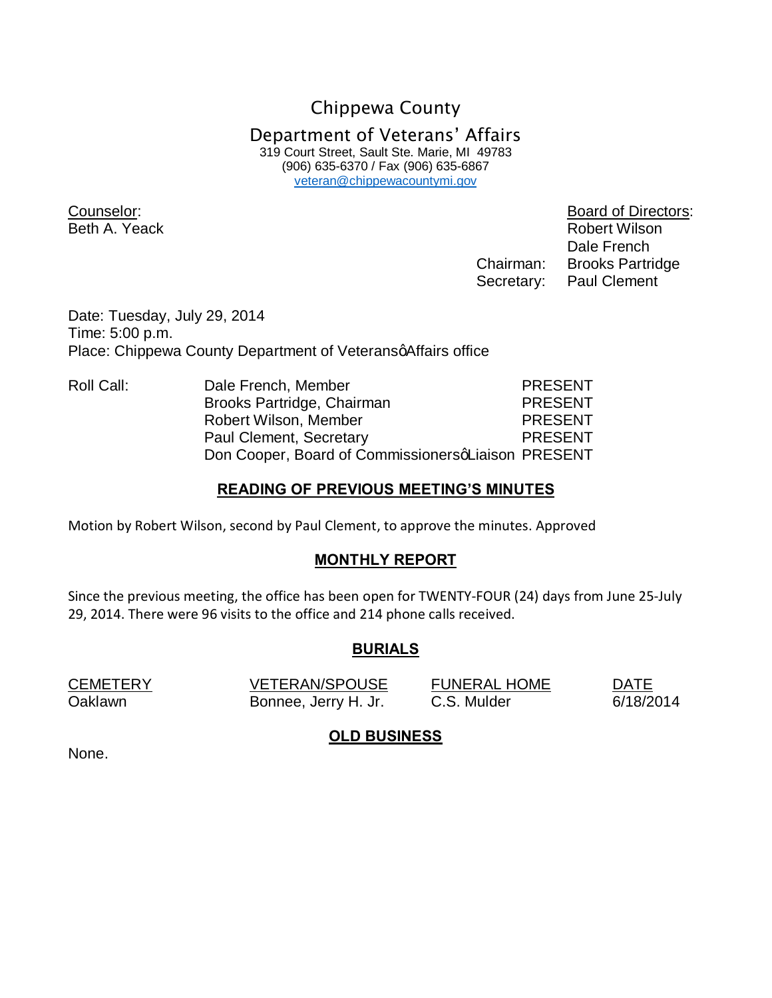Chippewa County Department of Veterans' Affairs 319 Court Street, Sault Ste. Marie, MI 49783 (906) 635-6370 / Fax (906) 635-6867 veteran@chippewacountymi.gov

Counselor: Board of Directors: Beth A. Yeack **Robert Wilson**  Dale French Chairman: Brooks Partridge Secretary: Paul Clement

Date: Tuesday, July 29, 2014 Time: 5:00 p.m. Place: Chippewa County Department of Veterans affairs office

Roll Call: Dale French, Member PRESENT Brooks Partridge, Chairman PRESENT Robert Wilson, Member PRESENT Paul Clement, Secretary **PRESENT** Don Cooper, Board of CommissionersqLiaison PRESENT

## **READING OF PREVIOUS MEETING'S MINUTES**

Motion by Robert Wilson, second by Paul Clement, to approve the minutes. Approved

## **MONTHLY REPORT**

Since the previous meeting, the office has been open for TWENTY-FOUR (24) days from June 25-July 29, 2014. There were 96 visits to the office and 214 phone calls received.

## **BURIALS**

CEMETERY VETERAN/SPOUSE FUNERAL HOME DATE Oaklawn Bonnee, Jerry H. Jr. C.S. Mulder 6/18/2014

## **OLD BUSINESS**

None.